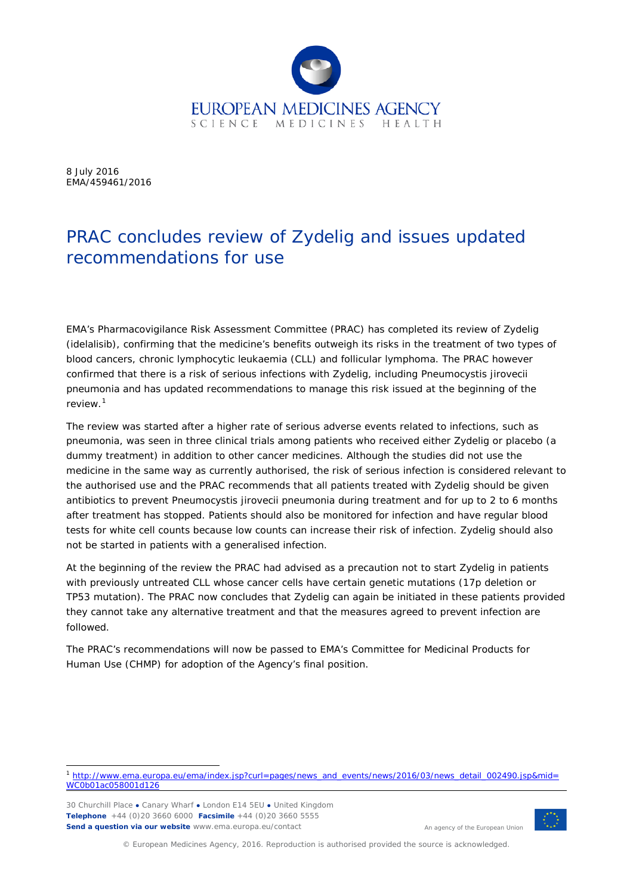

8 July 2016 EMA/459461/2016

## PRAC concludes review of Zydelig and issues updated recommendations for use

EMA's Pharmacovigilance Risk Assessment Committee (PRAC) has completed its review of Zydelig (idelalisib), confirming that the medicine's benefits outweigh its risks in the treatment of two types of blood cancers, chronic lymphocytic leukaemia (CLL) and follicular lymphoma. The PRAC however confirmed that there is a risk of serious infections with Zydelig, including *Pneumocystis jirovecii* pneumonia and has updated recommendations to manage this risk issued at the beginning of the review. [1](#page-0-0)

The review was started after a higher rate of serious adverse events related to infections, such as pneumonia, was seen in three clinical trials among patients who received either Zydelig or placebo (a dummy treatment) in addition to other cancer medicines. Although the studies did not use the medicine in the same way as currently authorised, the risk of serious infection is considered relevant to the authorised use and the PRAC recommends that all patients treated with Zydelig should be given antibiotics to prevent *Pneumocystis jirovecii* pneumonia during treatment and for up to 2 to 6 months after treatment has stopped. Patients should also be monitored for infection and have regular blood tests for white cell counts because low counts can increase their risk of infection. Zydelig should also not be started in patients with a generalised infection.

At the beginning of the review the PRAC had advised as a precaution not to start Zydelig in patients with previously untreated CLL whose cancer cells have certain genetic mutations (17p deletion or TP53 mutation). The PRAC now concludes that Zydelig can again be initiated in these patients provided they cannot take any alternative treatment and that the measures agreed to prevent infection are followed.

The PRAC's recommendations will now be passed to EMA's Committee for Medicinal Products for Human Use (CHMP) for adoption of the Agency's final position.

30 Churchill Place **●** Canary Wharf **●** London E14 5EU **●** United Kingdom **Telephone** +44 (0)20 3660 6000 **Facsimile** +44 (0)20 3660 5555 **Send a question via our website** www.ema.europa.eu/contact



An agency of the European Union

© European Medicines Agency, 2016. Reproduction is authorised provided the source is acknowledged.

<span id="page-0-0"></span> <sup>1</sup> [http://www.ema.europa.eu/ema/index.jsp?curl=pages/news\\_and\\_events/news/2016/03/news\\_detail\\_002490.jsp&mid=](http://www.ema.europa.eu/ema/index.jsp?curl=pages/news_and_events/news/2016/03/news_detail_002490.jsp&mid=WC0b01ac058001d126) [WC0b01ac058001d126](http://www.ema.europa.eu/ema/index.jsp?curl=pages/news_and_events/news/2016/03/news_detail_002490.jsp&mid=WC0b01ac058001d126)